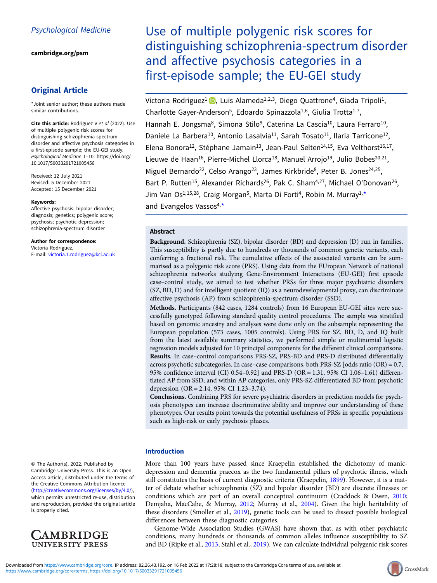[cambridge.org/psm](https://www.cambridge.org/psm)

# Original Article

\*Joint senior author; these authors made similar contributions.

Cite this article: Rodriguez V et al (2022). Use of multiple polygenic risk scores for distinguishing schizophrenia-spectrum disorder and affective psychosis categories in a first-episode sample; the EU-GEI study. Psychological Medicine 1–10. [https://doi.org/](https://doi.org/10.1017/S0033291721005456) [10.1017/S0033291721005456](https://doi.org/10.1017/S0033291721005456)

Received: 12 July 2021 Revised: 5 December 2021 Accepted: 15 December 2021

#### Keywords:

Affective psychosis; bipolar disorder; diagnosis; genetics; polygenic score; psychosis; psychotic depression; schizophrenia-spectrum disorder

Author for correspondence: Victoria Rodriguez, E-mail: [victoria.1.rodriguez@kcl.ac.uk](mailto:victoria.1.rodriguez@kcl.ac.uk)

© The Author(s), 2022. Published by Cambridge University Press. This is an Open Access article, distributed under the terms of the Creative Commons Attribution licence ([http://creativecommons.org/licenses/by/4.0/\)](http://creativecommons.org/licenses/by/4.0/), which permits unrestricted re-use, distribution and reproduction, provided the original article is properly cited.



Use of multiple polygenic risk scores for distinguishing schizophrenia-spectrum disorder and affective psychosis categories in a first-episode sample; the EU-GEI study

Victoria Rodriguez<sup>1</sup> **D**, Luis Alameda<sup>1,2,3</sup>, Diego Quattrone<sup>4</sup>, Giada Tripoli<sup>1</sup>, Charlotte Gayer-Anderson<sup>5</sup>, Edoardo Spinazzola<sup>1,6</sup>, Giulia Trotta<sup>1,7</sup>, Hannah E. Jongsma<sup>8</sup>, Simona Stilo<sup>9</sup>, Caterina La Cascia<sup>10</sup>, Laura Ferraro<sup>10</sup>, Daniele La Barbera<sup>10</sup>, Antonio Lasalvia<sup>11</sup>, Sarah Tosato<sup>11</sup>, Ilaria Tarricone<sup>12</sup>, Elena Bonora<sup>12</sup>, Stéphane Jamain<sup>13</sup>, Jean-Paul Selten<sup>14,15</sup>, Eva Velthorst<sup>16,17</sup>, Lieuwe de Haan<sup>16</sup>, Pierre-Michel Llorca<sup>18</sup>, Manuel Arrojo<sup>19</sup>, Julio Bobes<sup>20,21</sup>, Miguel Bernardo<sup>22</sup>, Celso Arango<sup>23</sup>, James Kirkbride<sup>8</sup>, Peter B. Jones<sup>24,25</sup>, Bart P. Rutten<sup>15</sup>, Alexander Richards<sup>26</sup>, Pak C. Sham<sup>4,27</sup>, Michael O'Donovan<sup>26</sup>, Jim Van Os<sup>1,15,28</sup>, Craig Morgan<sup>5</sup>, Marta Di Forti<sup>4</sup>, Robin M. Murray<sup>1,\*</sup>

and Evangelos Vassos<sup>4,\*</sup>

# Abstract

Background. Schizophrenia (SZ), bipolar disorder (BD) and depression (D) run in families. This susceptibility is partly due to hundreds or thousands of common genetic variants, each conferring a fractional risk. The cumulative effects of the associated variants can be summarised as a polygenic risk score (PRS). Using data from the EUropean Network of national schizophrenia networks studying Gene-Environment Interactions (EU-GEI) first episode case–control study, we aimed to test whether PRSs for three major psychiatric disorders (SZ, BD, D) and for intelligent quotient (IQ) as a neurodevelopmental proxy, can discriminate affective psychosis (AP) from schizophrenia-spectrum disorder (SSD).

Methods. Participants (842 cases, 1284 controls) from 16 European EU-GEI sites were successfully genotyped following standard quality control procedures. The sample was stratified based on genomic ancestry and analyses were done only on the subsample representing the European population (573 cases, 1005 controls). Using PRS for SZ, BD, D, and IQ built from the latest available summary statistics, we performed simple or multinomial logistic regression models adjusted for 10 principal components for the different clinical comparisons. Results. In case–control comparisons PRS-SZ, PRS-BD and PRS-D distributed differentially across psychotic subcategories. In case–case comparisons, both PRS-SZ [odds ratio (OR) = 0.7, 95% confidence interval (CI) 0.54–0.92] and PRS-D (OR = 1.31, 95% CI 1.06–1.61) differentiated AP from SSD; and within AP categories, only PRS-SZ differentiated BD from psychotic depression (OR = 2.14, 95% CI 1.23–3.74).

Conclusions. Combining PRS for severe psychiatric disorders in prediction models for psychosis phenotypes can increase discriminative ability and improve our understanding of these phenotypes. Our results point towards the potential usefulness of PRSs in specific populations such as high-risk or early psychosis phases.

# Introduction

More than 100 years have passed since Kraepelin established the dichotomy of manicdepression and dementia praecox as the two fundamental pillars of psychotic illness, which still constitutes the basis of current diagnostic criteria (Kraepelin, [1899\)](#page-8-0). However, it is a matter of debate whether schizophrenia (SZ) and bipolar disorder (BD) are discrete illnesses or conditions which are part of an overall conceptual continuum (Craddock & Owen, [2010](#page-8-0); Demjaha, MacCabe, & Murray, [2012](#page-8-0); Murray et al., [2004\)](#page-8-0). Given the high heritability of these disorders (Smoller et al., [2019](#page-8-0)), genetic tools can be used to dissect possible biological differences between these diagnostic categories.

Genome-Wide Association Studies (GWAS) have shown that, as with other psychiatric conditions, many hundreds or thousands of common alleles influence susceptibility to SZ and BD (Ripke et al., [2013;](#page-8-0) Stahl et al., [2019\)](#page-8-0). We can calculate individual polygenic risk scores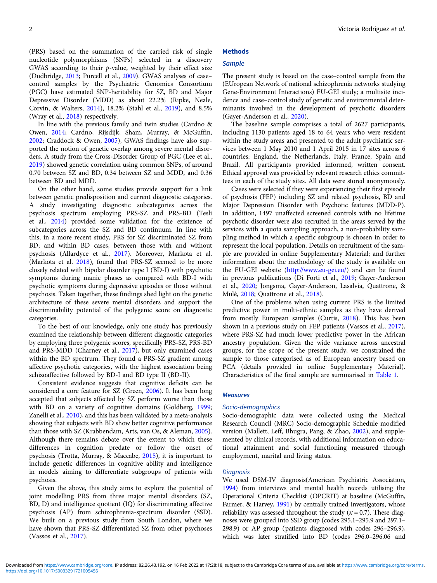(PRS) based on the summation of the carried risk of single nucleotide polymorphisms (SNPs) selected in a discovery GWAS according to their *p*-value, weighted by their effect size (Dudbridge, [2013](#page-8-0); Purcell et al., [2009](#page-8-0)). GWAS analyses of case– control samples by the Psychiatric Genomics Consortium (PGC) have estimated SNP-heritability for SZ, BD and Major Depressive Disorder (MDD) as about 22.2% (Ripke, Neale, Corvin, & Walters, [2014\)](#page-8-0), 18.2% (Stahl et al., [2019](#page-8-0)), and 8.5% (Wray et al., [2018\)](#page-9-0) respectively.

In line with the previous family and twin studies (Cardno & Owen, [2014;](#page-8-0) Cardno, Rijsdijk, Sham, Murray, & McGuffin, [2002;](#page-8-0) Craddock & Owen, [2005](#page-8-0)), GWAS findings have also supported the notion of genetic overlap among severe mental disorders. A study from the Cross-Disorder Group of PGC (Lee et al., [2019\)](#page-8-0) showed genetic correlation using common SNPs, of around 0.70 between SZ and BD, 0.34 between SZ and MDD, and 0.36 between BD and MDD.

On the other hand, some studies provide support for a link between genetic predisposition and current diagnostic categories. A study investigating diagnostic subcategories across the psychosis spectrum employing PRS-SZ and PRS-BD (Tesli et al., [2014\)](#page-8-0) provided some validation for the existence of subcategories across the SZ and BD continuum. In line with this, in a more recent study, PRS for SZ discriminated SZ from BD; and within BD cases, between those with and without psychosis (Allardyce et al., [2017](#page-7-0)). Moreover, Markota et al. (Markota et al. [2018](#page-8-0)), found that PRS-SZ seemed to be more closely related with bipolar disorder type I (BD-I) with psychotic symptoms during manic phases as compared with BD-I with psychotic symptoms during depressive episodes or those without psychosis. Taken together, these findings shed light on the genetic architecture of these severe mental disorders and support the discriminability potential of the polygenic score on diagnostic categories.

To the best of our knowledge, only one study has previously examined the relationship between different diagnostic categories by employing three polygenic scores, specifically PRS-SZ, PRS-BD and PRS-MDD (Charney et al., [2017](#page-8-0)), but only examined cases within the BD spectrum. They found a PRS-SZ gradient among affective psychotic categories, with the highest association being schizoaffective followed by BD-I and BD type II (BD-II).

Consistent evidence suggests that cognitive deficits can be considered a core feature for SZ (Green, [2006](#page-8-0)). It has been long accepted that subjects affected by SZ perform worse than those with BD on a variety of cognitive domains (Goldberg, [1999](#page-8-0); Zanelli et al., [2010](#page-9-0)), and this has been validated by a meta-analysis showing that subjects with BD show better cognitive performance than those with SZ (Krabbendam, Arts, van Os, & Aleman, [2005\)](#page-8-0). Although there remains debate over the extent to which these differences in cognition predate or follow the onset of psychosis (Trotta, Murray, & Maccabe, [2015](#page-9-0)), it is important to include genetic differences in cognitive ability and intelligence in models aiming to differentiate subgroups of patients with psychosis.

Given the above, this study aims to explore the potential of joint modelling PRS from three major mental disorders (SZ, BD, D) and intelligence quotient (IQ) for discriminating affective psychosis (AP) from schizophrenia-spectrum disorder (SSD). We built on a previous study from South London, where we have shown that PRS-SZ differentiated SZ from other psychoses (Vassos et al., [2017](#page-9-0)).

# **Methods**

# **Sample**

The present study is based on the case–control sample from the (EUropean Network of national schizophrenia networks studying Gene-Environment Interactions) EU-GEI study; a multisite incidence and case–control study of genetic and environmental determinants involved in the development of psychotic disorders (Gayer-Anderson et al., [2020\)](#page-8-0).

The baseline sample comprises a total of 2627 participants, including 1130 patients aged 18 to 64 years who were resident within the study areas and presented to the adult psychiatric services between 1 May 2010 and 1 April 2015 in 17 sites across 6 countries: England, the Netherlands, Italy, France, Spain and Brazil. All participants provided informed, written consent. Ethical approval was provided by relevant research ethics committees in each of the study sites. All data were stored anonymously.

Cases were selected if they were experiencing their first episode of psychosis (FEP) including SZ and related psychosis, BD and Major Depression Disorder with Psychotic features (MDD-P). In addition, 1497 unaffected screened controls with no lifetime psychotic disorder were also recruited in the areas served by the services with a quota sampling approach, a non-probability sampling method in which a specific subgroup is chosen in order to represent the local population. Details on recruitment of the sample are provided in online Supplementary Material; and further information about the methodology of the study is available on the EU-GEI website (<http://www.eu-gei.eu/>) and can be found in previous publications (Di Forti et al., [2019;](#page-8-0) Gayer-Anderson et al., [2020](#page-8-0); Jongsma, Gayer-Anderson, Lasalvia, Quattrone, & Mulè, [2018;](#page-8-0) Quattrone et al., [2018\)](#page-8-0).

One of the problems when using current PRS is the limited predictive power in multi-ethnic samples as they have derived from mostly European samples (Curtis, [2018](#page-8-0)). This has been shown in a previous study on FEP patients (Vassos et al., [2017](#page-9-0)), where PRS-SZ had much lower predictive power in the African ancestry population. Given the wide variance across ancestral groups, for the scope of the present study, we constrained the sample to those categorised as of European ancestry based on PCA (details provided in online Supplementary Material). Characteristics of the final sample are summarised in [Table 1](#page-3-0).

#### **Measures**

#### Socio-demographics

Socio-demographic data were collected using the Medical Research Council (MRC) Socio-demographic Schedule modified version (Mallett, Leff, Bhugra, Pang, & Zhao, [2002\)](#page-8-0), and supplemented by clinical records, with additional information on educational attainment and social functioning measured through employment, marital and living status.

#### **Diagnosis**

We used DSM-IV diagnosis(American Psychiatric Association, [1994](#page-8-0)) from interviews and mental health records utilising the Operational Criteria Checklist (OPCRIT) at baseline (McGuffin, Farmer, & Harvey, [1991](#page-8-0)) by centrally trained investigators, whose reliability was assessed throughout the study ( $\kappa$  = 0.7). These diagnoses were grouped into SSD group (codes 295.1–295.9 and 297.1– 298.9) or AP group (patients diagnosed with codes 296–296.9), which was later stratified into BD (codes 296.0–296.06 and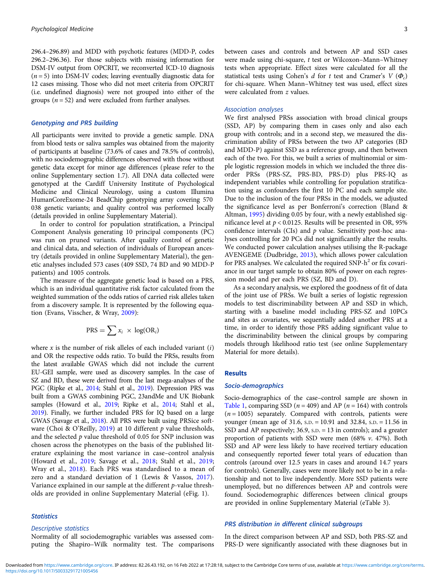296.4–296.89) and MDD with psychotic features (MDD-P, codes 296.2–296.36). For those subjects with missing information for DSM-IV output from OPCRIT, we reconverted ICD-10 diagnosis  $(n = 5)$  into DSM-IV codes; leaving eventually diagnostic data for 12 cases missing. Those who did not meet criteria from OPCRIT (i.e. undefined diagnosis) were not grouped into either of the groups ( $n = 52$ ) and were excluded from further analyses.

# Genotyping and PRS building

All participants were invited to provide a genetic sample. DNA from blood tests or saliva samples was obtained from the majority of participants at baseline (73.6% of cases and 78.5% of controls), with no sociodemographic differences observed with those without genetic data except for minor age differences (please refer to the online Supplementary section 1.7). All DNA data collected were genotyped at the Cardiff University Institute of Psychological Medicine and Clinical Neurology, using a custom Illumina HumanCoreExome-24 BeadChip genotyping array covering 570 038 genetic variants; and quality control was performed locally (details provided in online Supplementary Material).

In order to control for population stratification, a Principal Component Analysis generating 10 principal components (PC) was run on pruned variants. After quality control of genetic and clinical data, and selection of individuals of European ancestry (details provided in online Supplementary Material), the genetic analyses included 573 cases (409 SSD, 74 BD and 90 MDD-P patients) and 1005 controls.

The measure of the aggregate genetic load is based on a PRS, which is an individual quantitative risk factor calculated from the weighted summation of the odds ratios of carried risk alleles taken from a discovery sample. It is represented by the following equation (Evans, Visscher, & Wray, [2009\)](#page-8-0):

$$
PRS = \sum x_i \times \log(\text{OR}_i)
$$

where  $x$  is the number of risk alleles of each included variant  $(i)$ and OR the respective odds ratio. To build the PRSs, results from the latest available GWAS which did not include the current EU-GEI sample, were used as discovery samples. In the case of SZ and BD, these were derived from the last mega-analyses of the PGC (Ripke et al., [2014;](#page-8-0) Stahl et al., [2019](#page-8-0)). Depression PRS was built from a GWAS combining PGC, 23andMe and UK Biobank samples (Howard et al., [2019](#page-8-0); Ripke et al., [2014;](#page-8-0) Stahl et al., [2019](#page-8-0)). Finally, we further included PRS for IQ based on a large GWAS (Savage et al., [2018\)](#page-8-0). All PRS were built using PRSice soft-ware (Choi & O'Reilly, [2019\)](#page-8-0) at 10 different  $p$  value thresholds, and the selected  $p$  value threshold of 0.05 for SNP inclusion was chosen across the phenotypes on the basis of the published literature explaining the most variance in case–control analysis (Howard et al., [2019](#page-8-0); Savage et al., [2018](#page-8-0); Stahl et al., [2019;](#page-8-0) Wray et al., [2018\)](#page-9-0). Each PRS was standardised to a mean of zero and a standard deviation of 1 (Lewis & Vassos, [2017\)](#page-8-0). Variance explained in our sample at the different  $p$ -value thresholds are provided in online Supplementary Material (eFig. 1).

#### **Statistics**

### Descriptive statistics

Normality of all sociodemographic variables was assessed computing the Shapiro–Wilk normality test. The comparisons between cases and controls and between AP and SSD cases were made using chi-square, t test or Wilcoxon–Mann–Whitney tests when appropriate. Effect sizes were calculated for all the statistical tests using Cohen's d for t test and Cramer's  $V(\Phi_c)$ for chi-square. When Mann–Whitney test was used, effect sizes were calculated from z values.

#### Association analyses

We first analysed PRSs association with broad clinical groups (SSD, AP) by comparing them in cases only and also each group with controls; and in a second step, we measured the discrimination ability of PRSs between the two AP categories (BD and MDD-P) against SSD as a reference group, and then between each of the two. For this, we built a series of multinomial or simple logistic regression models in which we included the three disorder PRSs (PRS-SZ, PRS-BD, PRS-D) plus PRS-IQ as independent variables while controlling for population stratification using as confounders the first 10 PC and each sample site. Due to the inclusion of the four PRSs in the models, we adjusted the significance level as per Bonferroni's correction (Bland & Altman, [1995\)](#page-8-0) dividing 0.05 by four, with a newly established significance level at  $p < 0.0125$ . Results will be presented in OR, 95% confidence intervals (CIs) and  $p$  value. Sensitivity post-hoc analyses controlling for 20 PCs did not significantly alter the results. We conducted power calculation analyses utilising the R-package AVENGEME (Dudbridge, [2013](#page-8-0)), which allows power calculation for PRS analyses. We calculated the required  $SNP-h^2$  or fix covariance in our target sample to obtain 80% of power on each regression model and per each PRS (SZ, BD and D).

As a secondary analysis, we explored the goodness of fit of data of the joint use of PRSs. We built a series of logistic regression models to test discriminability between AP and SSD in which, starting with a baseline model including PRS-SZ and 10PCs and sites as covariates, we sequentially added another PRS at a time, in order to identify those PRS adding significant value to the discriminability between the clinical groups by comparing models through likelihood ratio test (see online Supplementary Material for more details).

#### Results

#### Socio-demographics

Socio-demographics of the case–control sample are shown in [Table 1](#page-3-0), comparing SSD ( $n = 409$ ) and AP ( $n = 164$ ) with controls  $(n = 1005)$  separately. Compared with controls, patients were younger (mean age of 31.6, S.D. = 10.91 and 32.84, S.D. = 11.56 in SSD and AP respectively; 36.9, S.D. = 13 in controls); and a greater proportion of patients with SSD were men (68%  $v$ . 47%). Both SSD and AP were less likely to have received tertiary education and consequently reported fewer total years of education than controls (around over 12.5 years in cases and around 14.7 years for controls). Generally, cases were more likely not to be in a relationship and not to live independently. More SSD patients were unemployed, but no differences between AP and controls were found. Sociodemographic differences between clinical groups are provided in online Supplementary Material (eTable 3).

#### PRS distribution in different clinical subgroups

In the direct comparison between AP and SSD, both PRS-SZ and PRS-D were significantly associated with these diagnoses but in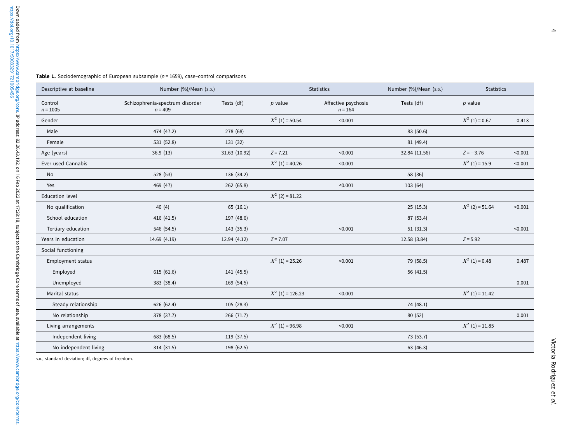<span id="page-3-0"></span>

| Descriptive at baseline | Number (%)/Mean (s.p.)                       |               | <b>Statistics</b>  |                                  | Number (%)/Mean (s.p.) | <b>Statistics</b> |         |
|-------------------------|----------------------------------------------|---------------|--------------------|----------------------------------|------------------------|-------------------|---------|
| Control<br>$n = 1005$   | Schizophrenia-spectrum disorder<br>$n = 409$ | Tests (df)    | $p$ value          | Affective psychosis<br>$n = 164$ | Tests (df)             | $p$ value         |         |
| Gender                  |                                              |               | $X^2$ (1) = 50.54  | < 0.001                          |                        | $X^2$ (1) = 0.67  | 0.413   |
| Male                    | 474 (47.2)                                   | 278 (68)      |                    |                                  | 83 (50.6)              |                   |         |
| Female                  | 531 (52.8)                                   | 131 (32)      |                    |                                  | 81 (49.4)              |                   |         |
| Age (years)             | 36.9(13)                                     | 31.63 (10.92) | $Z = 7.21$         | < 0.001                          | 32.84 (11.56)          | $Z = -3.76$       | < 0.001 |
| Ever used Cannabis      |                                              |               | $X^2$ (1) = 40.26  | < 0.001                          |                        | $X^2$ (1) = 15.9  | < 0.001 |
| No                      | 528 (53)                                     | 136 (34.2)    |                    |                                  | 58 (36)                |                   |         |
| Yes                     | 469 (47)                                     | 262 (65.8)    |                    | < 0.001                          | 103 (64)               |                   |         |
| <b>Education level</b>  |                                              |               | $X^2$ (2) = 81.22  |                                  |                        |                   |         |
| No qualification        | 40(4)                                        | 65(16.1)      |                    |                                  | 25(15.3)               | $X^2$ (2) = 51.64 | < 0.001 |
| School education        | 416 (41.5)                                   | 197 (48.6)    |                    |                                  | 87 (53.4)              |                   |         |
| Tertiary education      | 546 (54.5)                                   | 143 (35.3)    |                    | < 0.001                          | 51(31.3)               |                   | < 0.001 |
| Years in education      | 14.69 (4.19)                                 | 12.94 (4.12)  | $Z = 7.07$         |                                  | 12.58 (3.84)           | $Z = 5.92$        |         |
| Social functioning      |                                              |               |                    |                                  |                        |                   |         |
| Employment status       |                                              |               | $X^2$ (1) = 25.26  | < 0.001                          | 79 (58.5)              | $X^2$ (1) = 0.48  | 0.487   |
| Employed                | 615 (61.6)                                   | 141 (45.5)    |                    |                                  | 56 (41.5)              |                   |         |
| Unemployed              | 383 (38.4)                                   | 169 (54.5)    |                    |                                  |                        |                   | 0.001   |
| Marital status          |                                              |               | $X^2$ (1) = 126.23 | < 0.001                          |                        | $X^2$ (1) = 11.42 |         |
| Steady relationship     | 626 (62.4)                                   | 105 (28.3)    |                    |                                  | 74 (48.1)              |                   |         |
| No relationship         | 378 (37.7)                                   | 266 (71.7)    |                    |                                  | 80 (52)                |                   | 0.001   |
| Living arrangements     |                                              |               | $X^2$ (1) = 96.98  | < 0.001                          |                        | $X^2$ (1) = 11.85 |         |
| Independent living      | 683 (68.5)                                   | 119 (37.5)    |                    |                                  | 73 (53.7)              |                   |         |
| No independent living   | 314 (31.5)                                   | 198 (62.5)    |                    |                                  | 63 (46.3)              |                   |         |

S.D., standard deviation; df, degrees of freedom.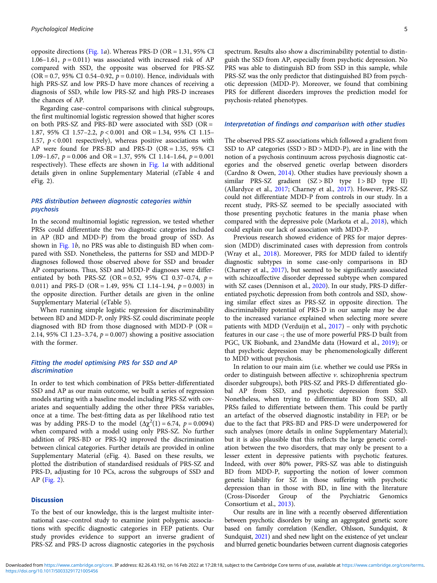opposite directions [\(Fig. 1](#page-5-0)*a*). Whereas PRS-D (OR = 1.31, 95% CI 1.06–1.61,  $p = 0.011$ ) was associated with increased risk of AP compared with SSD, the opposite was observed for PRS-SZ  $(OR = 0.7, 95\% \text{ CI } 0.54 - 0.92, p = 0.010)$ . Hence, individuals with high PRS-SZ and low PRS-D have more chances of receiving a diagnosis of SSD, while low PRS-SZ and high PRS-D increases the chances of AP.

Regarding case–control comparisons with clinical subgroups, the first multinomial logistic regression showed that higher scores on both PRS-SZ and PRS-BD were associated with SSD (OR = 1.87, 95% CI 1.57–2.2, p < 0.001 and OR = 1.34, 95% CI 1.15– 1.57,  $p < 0.001$  respectively), whereas positive associations with AP were found for PRS-BD and PRS-D (OR = 1.35, 95% CI 1.09–1.67,  $p = 0.006$  and OR = 1.37, 95% CI 1.14–1.64,  $p = 0.001$ respectively). These effects are shown in [Fig. 1](#page-5-0)a with additional details given in online Supplementary Material (eTable 4 and eFig. 2).

## PRS distribution between diagnostic categories within psychosis

In the second multinomial logistic regression, we tested whether PRSs could differentiate the two diagnostic categories included in AP (BD and MDD-P) from the broad group of SSD. As shown in [Fig. 1](#page-5-0)b, no PRS was able to distinguish BD when compared with SSD. Nonetheless, the patterns for SSD and MDD-P diagnoses followed those observed above for SSD and broader AP comparisons. Thus, SSD and MDD-P diagnoses were differentiated by both PRS-SZ (OR = 0.52, 95% CI 0.37-0.74,  $p =$ 0.011) and PRS-D (OR = 1.49, 95% CI 1.14–1.94,  $p = 0.003$ ) in the opposite direction. Further details are given in the online Supplementary Material (eTable 5).

When running simple logistic regression for discriminability between BD and MDD-P, only PRS-SZ could discriminate people diagnosed with BD from those diagnosed with MDD-P (OR = 2.14, 95% CI 1.23-3.74,  $p = 0.007$ ) showing a positive association with the former.

# Fitting the model optimising PRS for SSD and AP discrimination

In order to test which combination of PRSs better-differentiated SSD and AP as our main outcome, we built a series of regression models starting with a baseline model including PRS-SZ with covariates and sequentially adding the other three PRSs variables, once at a time. The best-fitting data as per likelihood ratio test was by adding PRS-D to the model  $(\Delta \chi^2(1) = 6.74, p = 0.0094)$ when compared with a model using only PRS-SZ. No further addition of PRS-BD or PRS-IQ improved the discrimination between clinical categories. Further details are provided in online Supplementary Material (eFig. 4). Based on these results, we plotted the distribution of standardised residuals of PRS-SZ and PRS-D, adjusting for 10 PCs, across the subgroups of SSD and AP ([Fig. 2](#page-6-0)).

#### **Discussion**

To the best of our knowledge, this is the largest multisite international case–control study to examine joint polygenic associations with specific diagnostic categories in FEP patients. Our study provides evidence to support an inverse gradient of PRS-SZ and PRS-D across diagnostic categories in the psychosis

spectrum. Results also show a discriminability potential to distinguish the SSD from AP, especially from psychotic depression. No PRS was able to distinguish BD from SSD in this sample, while PRS-SZ was the only predictor that distinguished BD from psychotic depression (MDD-P). Moreover, we found that combining PRS for different disorders improves the prediction model for psychosis-related phenotypes.

#### Interpretation of findings and comparison with other studies

The observed PRS-SZ associations which followed a gradient from SSD to AP categories (SSD > BD > MDD-P), are in line with the notion of a psychosis continuum across psychosis diagnostic categories and the observed genetic overlap between disorders (Cardno & Owen, [2014](#page-8-0)). Other studies have previously shown a similar PRS-SZ gradient  $(SZ > BD$  type I > BD type II) (Allardyce et al., [2017;](#page-7-0) Charney et al., [2017\)](#page-8-0). However, PRS-SZ could not differentiate MDD-P from controls in our study. In a recent study, PRS-SZ seemed to be specially associated with those presenting psychotic features in the mania phase when compared with the depressive pole (Markota et al., [2018](#page-8-0)), which could explain our lack of association with MDD-P.

Previous research showed evidence of PRS for major depression (MDD) discriminated cases with depression from controls (Wray et al., [2018\)](#page-9-0). Moreover, PRS for MDD failed to identify diagnostic subtypes in some case-only comparisons in BD (Charney et al., [2017\)](#page-8-0), but seemed to be significantly associated with schizoaffective disorder depressed subtype when compared with SZ cases (Dennison et al., [2020\)](#page-8-0). In our study, PRS-D differentiated psychotic depression from both controls and SSD, showing similar effect sizes as PRS-SZ in opposite direction. The discriminability potential of PRS-D in our sample may be due to the increased variance explained when selecting more severe patients with MDD (Verduijn et al., [2017](#page-9-0)) – only with psychotic features in our case -; the use of more powerful PRS-D built from PGC, UK Biobank, and 23andMe data (Howard et al., [2019\)](#page-8-0); or that psychotic depression may be phenomenologically different to MDD without psychosis.

In relation to our main aim (i.e. whether we could use PRSs in order to distinguish between affective v. schizophrenia spectrum disorder subgroups), both PRS-SZ and PRS-D differentiated global AP from SSD, and psychotic depression from SSD. Nonetheless, when trying to differentiate BD from SSD, all PRSs failed to differentiate between them. This could be partly an artefact of the observed diagnostic instability in FEP; or be due to the fact that PRS-BD and PRS-D were underpowered for such analyses (more details in online Supplementary Material); but it is also plausible that this reflects the large genetic correlation between the two disorders, that may only be present to a lesser extent in depressive patients with psychotic features. Indeed, with over 80% power, PRS-SZ was able to distinguish BD from MDD-P, supporting the notion of lower common genetic liability for SZ in those suffering with psychotic depression than in those with BD, in line with the literature (Cross-Disorder Group of the Psychiatric Genomics Consortium et al., [2013](#page-8-0)).

Our results are in line with a recently observed differentiation between psychotic disorders by using an aggregated genetic score based on family correlation (Kendler, Ohlsson, Sundquist, & Sundquist, [2021](#page-8-0)) and shed new light on the existence of yet unclear and blurred genetic boundaries between current diagnosis categories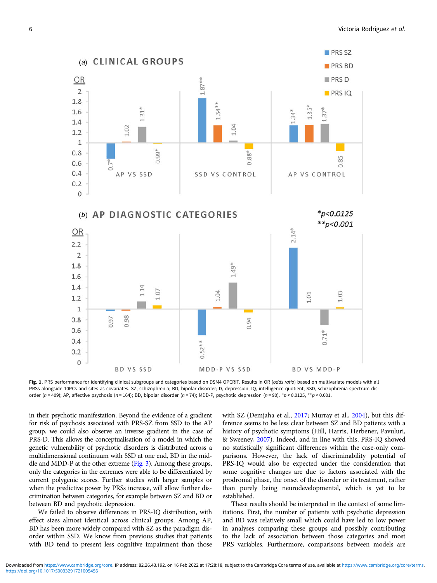<span id="page-5-0"></span>

Fig. 1. PRS performance for identifying clinical subgroups and categories based on DSM4 OPCRIT. Results in OR (odds ratio) based on multivariate models with all PRSs alongside 10PCs and sites as covariates. SZ, schizophrenia; BD, bipolar disorder; D, depression; IQ, intelligence quotient; SSD, schizophrenia-spectrum disorder (n = 409); AP, affective psychosis (n = 164); BD, bipolar disorder (n = 74); MDD-P, psychotic depression (n = 90). \*p < 0.0125, \*\*p < 0.001.

in their psychotic manifestation. Beyond the evidence of a gradient for risk of psychosis associated with PRS-SZ from SSD to the AP group, we could also observe an inverse gradient in the case of PRS-D. This allows the conceptualisation of a model in which the genetic vulnerability of psychotic disorders is distributed across a multidimensional continuum with SSD at one end, BD in the middle and MDD-P at the other extreme [\(Fig. 3\)](#page-7-0). Among these groups, only the categories in the extremes were able to be differentiated by current polygenic scores. Further studies with larger samples or when the predictive power by PRSs increase, will allow further discrimination between categories, for example between SZ and BD or between BD and psychotic depression.

We failed to observe differences in PRS-IQ distribution, with effect sizes almost identical across clinical groups. Among AP, BD has been more widely compared with SZ as the paradigm disorder within SSD. We know from previous studies that patients with BD tend to present less cognitive impairment than those with SZ (Demjaha et al., [2017](#page-8-0); Murray et al., [2004\)](#page-8-0), but this difference seems to be less clear between SZ and BD patients with a history of psychotic symptoms (Hill, Harris, Herbener, Pavuluri, & Sweeney, [2007](#page-8-0)). Indeed, and in line with this, PRS-IQ showed no statistically significant differences within the case-only comparisons. However, the lack of discriminability potential of PRS-IQ would also be expected under the consideration that some cognitive changes are due to factors associated with the prodromal phase, the onset of the disorder or its treatment, rather than purely being neurodevelopmental, which is yet to be established.

These results should be interpreted in the context of some limitations. First, the number of patients with psychotic depression and BD was relatively small which could have led to low power in analyses comparing these groups and possibly contributing to the lack of association between those categories and most PRS variables. Furthermore, comparisons between models are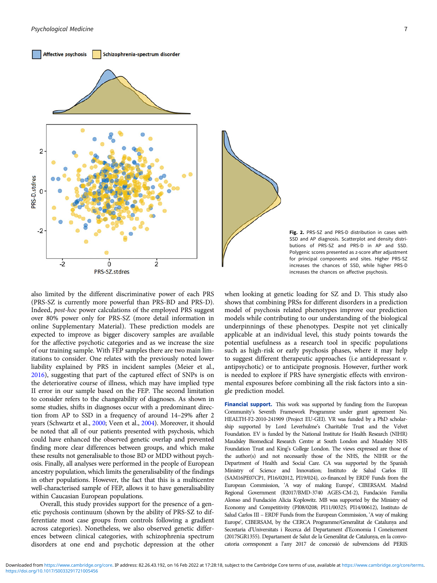<span id="page-6-0"></span>



Fig. 2. PRS-SZ and PRS-D distribution in cases with SSD and AP diagnosis. Scatterplot and density distributions of PRS-SZ and PRS-D in AP and SSD. Polygenic scores presented as z-score after adjustment for principal components and sites. Higher PRS-SZ increases the chances of SSD, while higher PRS-D increases the chances on affective psychosis.

also limited by the different discriminative power of each PRS (PRS-SZ is currently more powerful than PRS-BD and PRS-D). Indeed, post-hoc power calculations of the employed PRS suggest over 80% power only for PRS-SZ (more detail information in online Supplementary Material). These prediction models are expected to improve as bigger discovery samples are available for the affective psychotic categories and as we increase the size of our training sample. With FEP samples there are two main limitations to consider. One relates with the previously noted lower liability explained by PRS in incident samples (Meier et al., [2016\)](#page-8-0), suggesting that part of the captured effect of SNPs is on the deteriorative course of illness, which may have implied type II error in our sample based on the FEP. The second limitation to consider refers to the changeability of diagnoses. As shown in some studies, shifts in diagnoses occur with a predominant direction from AP to SSD in a frequency of around 14–29% after 2 years (Schwartz et al., [2000;](#page-8-0) Veen et al., [2004\)](#page-9-0). Moreover, it should be noted that all of our patients presented with psychosis, which could have enhanced the observed genetic overlap and prevented finding more clear differences between groups, and which make these results not generalisable to those BD or MDD without psychosis. Finally, all analyses were performed in the people of European ancestry population, which limits the generalisability of the findings in other populations. However, the fact that this is a multicentre well-characterised sample of FEP, allows it to have generalisability within Caucasian European populations.

Overall, this study provides support for the presence of a genetic psychosis continuum (shown by the ability of PRS-SZ to differentiate most case groups from controls following a gradient across categories). Nonetheless, we also observed genetic differences between clinical categories, with schizophrenia spectrum disorders at one end and psychotic depression at the other

when looking at genetic loading for SZ and D. This study also shows that combining PRSs for different disorders in a prediction model of psychosis related phenotypes improve our prediction models while contributing to our understanding of the biological underpinnings of these phenotypes. Despite not yet clinically applicable at an individual level, this study points towards the potential usefulness as a research tool in specific populations such as high-risk or early psychosis phases, where it may help to suggest different therapeutic approaches (i.e antidepressant v. antipsychotic) or to anticipate prognosis. However, further work is needed to explore if PRS have synergistic effects with environmental exposures before combining all the risk factors into a single prediction model.

Financial support. This work was supported by funding from the European Community's Seventh Framework Programme under grant agreement No. HEALTH-F2-2010-241909 (Project EU-GEI). VR was funded by a PhD scholarship supported by Lord Leverhulme's Charitable Trust and the Velvet Foundation. EV is funded by the National Institute for Health Research (NIHR) Maudsley Biomedical Research Centre at South London and Maudsley NHS Foundation Trust and King's College London. The views expressed are those of the author(s) and not necessarily those of the NHS, the NIHR or the Department of Health and Social Care. CA was supported by the Spanish Ministry of Science and Innovation; Instituto de Salud Carlos III (SAM16PE07CP1, PI16/02012, PI19/024), co-financed by ERDF Funds from the European Commission, 'A way of making Europe', CIBERSAM. Madrid Regional Government (B2017/BMD-3740 AGES-CM-2), Fundación Familia Alonso and Fundación Alicia Koplowitz. MB was supported by the Ministry od Economy and Competitivity (PI08/0208; PI11/00325; PI14/00612), Instituto de Salud Carlos III – ERDF Funds from the European Commission, 'A way of making Europe', CIBERSAM, by the CERCA Programme/Generalitat de Catalunya and Secretaria d'Universitats i Recerca del Departament d'Economia I Coneixement (2017SGR1355). Departament de Salut de la Generalitat de Catalunya, en la convocatoria corresponent a l'any 2017 de concessió de subvencions del PERIS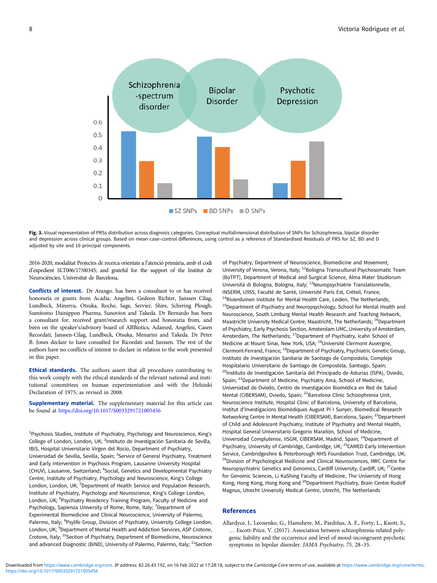<span id="page-7-0"></span>

Fig. 3. Visual representation of PRSs distribution across diagnosis categories. Conceptual multidimensional distribution of SNPs for Schizophrenia, bipolar disorder and depression across clinical groups. Based on mean case–control differences, using control as a reference of Standardised Residuals of PRS for SZ, BD and D adjusted by site and 10 principal components.

2016-2020, modalitat Projectes de recerca orientats a l'atenció primària, amb el codi d'expedient SLT006/17/00345; and grateful for the support of the Institut de Neurociències, Universitat de Barcelona.

Conflicts of interest. Dr Arango. has been a consultant to or has received honoraria or grants from Acadia, Angelini, Gedeon Richter, Janssen Cilag, Lundbeck, Minerva, Otsuka, Roche, Sage, Servier, Shire, Schering Plough, Sumitomo Dainippon Pharma, Sunovion and Takeda. Dr Bernardo has been a consultant for, received grant/research support and honoraria from, and been on the speaker's/advisory board of ABBiotics, Adamed, Angelini, Casen Recordati, Janssen-Cilag, Lundbeck, Otsuka, Menarini and Takeda. Dr Peter B. Jones declare to have consulted for Ricordati and Janssen. The rest of the authors have no conflicts of interest to declare in relation to the work presented in this paper.

Ethical standards. The authors assert that all procedures contributing to this work comply with the ethical standards of the relevant national and institutional committees on human experimentation and with the Helsinki Declaration of 1975, as revised in 2008.

Supplementary material. The supplementary material for this article can be found at <https://doi.org/10.1017/S0033291721005456>

<sup>1</sup>Psychosis Studies, Institute of Psychiatry, Psychology and Neuroscience, King's College of London, London, UK; <sup>2</sup>Instituto de Investigación Sanitaria de Sevilla, IBiS, Hospital Universitario Virgen del Rocío, Department of Psychiatry, Universidad de Sevilla, Sevilla, Spain; <sup>3</sup>Service of General Psychiatry, Treatment and Early Intervention in Psychosis Program, Lausanne University Hospital (CHUV), Lausanne, Switzerland; <sup>4</sup>Social, Genetics and Developmental Psychiatry Centre, Institute of Psychiatry, Psychology and Neuroscience, King's College London, London, UK; <sup>5</sup>Department of Health Service and Population Research, Institute of Psychiatry, Psychology and Neuroscience, King's College London, London, UK; <sup>6</sup>Psychiatry Residency Training Program, Faculty of Medicine and Psychology, Sapienza University of Rome, Rome, Italy; <sup>7</sup>Department of Experimental Biomedicine and Clinical Neuroscience, University of Palermo, Palermo, Italy; <sup>8</sup>Psylife Group, Division of Psychiatry, University College London, London, UK; <sup>9</sup>Department of Mental Health and Addiction Services, ASP Crotone, Crotone, Italy; <sup>10</sup>Section of Psychiatry, Department of Biomedicine, Neuroscience and advanced Diagnostic (BiND), University of Palermo, Palermo, Italy;  $11$ Section of Psychiatry, Department of Neuroscience, Biomedicine and Movement, University of Verona, Verona, Italy; <sup>12</sup>Bologna Transcultural Psychosomatic Team (BoTPT), Department of Medical and Surgical Science, Alma Mater Studiorum Università di Bologna, Bologna, Italy; 13Neuropsychiatrie Translationnelle, INSERM, U955, Faculté de Santé, Université Paris Est, Créteil, France; <sup>14</sup>Rivierduinen Institute for Mental Health Care, Leiden, The Netherlands; <sup>15</sup>Department of Psychiatry and Neuropsychology, School for Mental Health and Neuroscience, South Limburg Mental Health Research and Teaching Network, Maastricht University Medical Centre, Maastricht, The Netherlands; <sup>16</sup>Department of Psychiatry, Early Psychosis Section, Amsterdam UMC, University of Amsterdam, Amsterdam, The Netherlands; <sup>17</sup>Department of Psychiatry, Icahn School of Medicine at Mount Sinai, New York, USA; 18Université Clermont Auvergne, Clermont-Ferrand, France; <sup>19</sup>Department of Psychiatry, Psychiatric Genetic Group, Instituto de Investigación Sanitaria de Santiago de Compostela, Complejo Hospitalario Universitario de Santiago de Compostela, Santiago, Spain; <sup>20</sup>Instituto de Investigación Sanitaria del Principado de Asturias (ISPA), Oviedo, Spain; <sup>21</sup>Department of Medicine, Psychiatry Area, School of Medicine, Universidad de Oviedo, Centro de Investigación Biomédica en Red de Salud Mental (CIBERSAM), Oviedo, Spain; <sup>22</sup>Barcelona Clinic Schizophrenia Unit. Neuroscience Institute, Hospital Clinic of Barcelona, University of Barcelona, Institut d'Investigacions Biomèdiques August Pi I Sunyer, Biomedical Research Networking Centre in Mental Health (CIBERSAM), Barcelona, Spain; <sup>23</sup>Department of Child and Adolescent Psychiatry, Institute of Psychiatry and Mental Health, Hospital General Universitario Gregorio Marañón, School of Medicine, Universidad Complutense, IiSGM, CIBERSAM, Madrid, Spain; <sup>24</sup>Department of Psychiatry, University of Cambridge, Cambridge, UK; <sup>25</sup>CAMEO Early Intervention Service, Cambridgeshire & Peterborough NHS Foundation Trust, Cambridge, UK; <sup>26</sup>Division of Psychological Medicine and Clinical Neurosciences, MRC Centre for Neuropsychiatric Genetics and Genomics, Cardiff University, Cardiff, UK; <sup>27</sup>Centre for Genomic Sciences, Li KaShing Faculty of Medicine, The University of Hong Kong, Hong Kong, Hong Kong and <sup>28</sup>Department Psychiatry, Brain Centre Rudolf Magnus, Utrecht University Medical Centre, Utrecht, The Netherlands

## References

Allardyce, J., Leonenko, G., Hamshere, M., Pardiñas, A. F., Forty, L., Knott, S., … Escott-Price, V. (2017). Association between schizophrenia-related polygenic liability and the occurrence and level of mood-incongruent psychotic symptoms in bipolar disorder. JAMA Psychiatry, 75, 28–35.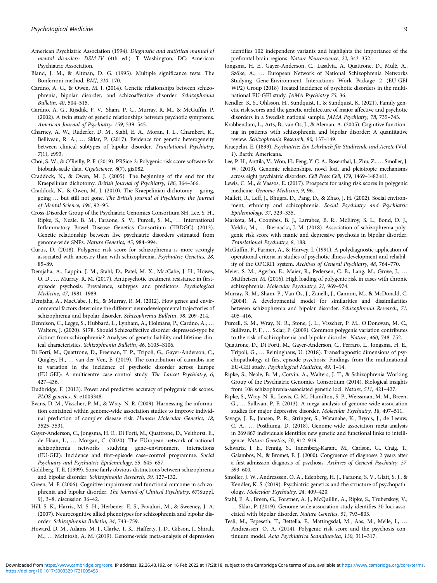- <span id="page-8-0"></span>American Psychiatric Association (1994). Diagnostic and statistical manual of mental disorders: DSM-IV (4th ed.). T Washington, DC: American Psychiatric Association.
- Bland, J. M., & Altman, D. G. (1995). Multiple significance tests: The Bonferroni method. BMJ, 310, 170.
- Cardno, A. G., & Owen, M. J. (2014). Genetic relationships between schizophrenia, bipolar disorder, and schizoaffective disorder. Schizophrenia Bulletin, 40, 504–515.
- Cardno, A. G., Rijsdijk, F. V., Sham, P. C., Murray, R. M., & McGuffin, P. (2002). A twin study of genetic relationships between psychotic symptoms. American Journal of Psychiatry, 159, 539–545.
- Charney, A. W., Ruderfer, D. M., Stahl, E. A., Moran, J. L., Chambert, K., Belliveau, R. A., … Sklar, P. (2017). Evidence for genetic heterogeneity between clinical subtypes of bipolar disorder. Translational Psychiatry, 7(1), e993.
- Choi, S. W., & O'Reilly, P. F. (2019). PRSice-2: Polygenic risk score software for biobank-scale data. GigaScience, 8(7), giz082.
- Craddock, N., & Owen, M. J. (2005). The beginning of the end for the Kraepelinian dichotomy. British Journal of Psychiatry, 186, 364–366.
- Craddock, N., & Owen, M. J. (2010). The Kraepelinian dichotomy going, going … but still not gone. The British Journal of Psychiatry: the Journal of Mental Science, 196, 92–95.
- Cross-Disorder Group of the Psychiatric Genomics Consortium SH, Lee, S. H., Ripke, S., Neale, B. M., Faraone, S. V., Purcell, S. M., … International Inflammatory Bowel Disease Genetics Consortium (IIBDGC) (2013). Genetic relationship between five psychiatric disorders estimated from genome-wide SNPs. Nature Genetics, 45, 984–994.
- Curtis, D. (2018). Polygenic risk score for schizophrenia is more strongly associated with ancestry than with schizophrenia. Psychiatric Genetics, 28, 85–89.
- Demjaha, A., Lappin, J. M., Stahl, D., Patel, M. X., MacCabe, J. H., Howes, O. D., … Murray, R. M. (2017). Antipsychotic treatment resistance in firstepisode psychosis: Prevalence, subtypes and predictors. Psychological Medicine, 47, 1981–1989.
- Demjaha, A., MacCabe, J. H., & Murray, R. M. (2012). How genes and environmental factors determine the different neurodevelopmental trajectories of schizophrenia and bipolar disorder. Schizophrenia Bulletin, 38, 209–214.
- Dennison, C., Legge, S., Hubbard, L., Lynham, A., Holmans, P., Cardno, A., … Walters, J. (2020). S178. Should Schizoaffective disorder depressed-type be distinct from schizophrenia? Analyses of genetic liability and lifetime clinical characteristics. Schizophrenia Bulletin, 46, S105–S106.
- Di Forti, M., Quattrone, D., Freeman, T. P., Tripoli, G., Gayer-Anderson, C., Quigley, H., … van der Ven, E. (2019). The contribution of cannabis use to variation in the incidence of psychotic disorder across Europe (EU-GEI): A multicentre case–control study. The Lancet Psychiatry, 6, 427–436.
- Dudbridge, F. (2013). Power and predictive accuracy of polygenic risk scores. PLOS genetics, 9, e1003348.
- Evans, D. M., Visscher, P. M., & Wray, N. R. (2009). Harnessing the information contained within genome-wide association studies to improve individual prediction of complex disease risk. Human Molecular Genetics, 18, 3525–3531.
- Gayer-Anderson, C., Jongsma, H. E., Di Forti, M., Quattrone, D., Velthorst, E., de Haan, L., … Morgan, C. (2020). The EUropean network of national schizophrenia networks studying gene–environment interactions (EU-GEI): Incidence and first-episode case–control programme. Social Psychiatry and Psychiatric Epidemiology, 55, 645–657.
- Goldberg, T. E. (1999). Some fairly obvious distinctions between schizophrenia and bipolar disorder. Schizophrenia Research, 39, 127–132.
- Green, M. F. (2006). Cognitive impairment and functional outcome in schizophrenia and bipolar disorder. The Journal of Clinical Psychiatry, 67(Suppl. 9), 3–8, discussion 36–42.
- Hill, S. K., Harris, M. S. H., Herbener, E. S., Pavuluri, M., & Sweeney, J. A. (2007). Neurocognitive allied phenotypes for schizophrenia and bipolar disorder. Schizophrenia Bulletin, 34, 743–759.
- Howard, D. M., Adams, M. J., Clarke, T. K., Hafferty, J. D., Gibson, J., Shirali, M., … McIntosh, A. M. (2019). Genome-wide meta-analysis of depression

identifies 102 independent variants and highlights the importance of the prefrontal brain regions. Nature Neuroscience, 22, 343–352.

- Jongsma, H. E., Gayer-Anderson, C., Lasalvia, A, Quattrone, D., Mulè, A., Szöke, A., … European Network of National Schizophrenia Networks Studying Gene-Environment Interactions Work Package 2 (EU-GEI WP2) Group (2018) Treated incidence of psychotic disorders in the multinational EU-GEI study. JAMA Psychiatry 75, 36.
- Kendler, K. S., Ohlsson, H., Sundquist, J., & Sundquist, K. (2021). Family genetic risk scores and the genetic architecture of major affective and psychotic disorders in a Swedish national sample. JAMA Psychiatry, 78, 735–743.
- Krabbendam, L., Arts, B., van Os, J., & Aleman, A. (2005). Cognitive functioning in patients with schizophrenia and bipolar disorder: A quantitative review. Schizophrenia Research, 80, 137–149.
- Kraepelin, E. (1899). Psychiatrie: Ein Lehrbuch für Studirende und Aerzte (Vol. 1). Barth: Americana.
- Lee, P. H., Anttila, V., Won, H., Feng, Y. C. A., Rosenthal, J., Zhu, Z., … Smoller, J. W. (2019). Genomic relationships, novel loci, and pleiotropic mechanisms across eight psychiatric disorders. Cell Press Cell, 179, 1469–1482.e11.
- Lewis, C. M., & Vassos, E. (2017). Prospects for using risk scores in polygenic medicine. Genome Medicine, 9, 96.
- Mallett, R., Leff, J., Bhugra, D., Pang, D., & Zhao, J. H. (2002). Social environment, ethnicity and schizophrenia. Social Psychiatry and Psychiatric Epidemiology, 37, 329–335.
- Markota, M., Coombes, B. J., Larrabee, B. R., McElroy, S. L., Bond, D. J., Veldic, M., … Biernacka, J. M. (2018). Association of schizophrenia polygenic risk score with manic and depressive psychosis in bipolar disorder. Translational Psychiatry, 8, 188.
- McGuffin, P., Farmer, A., & Harvey, I. (1991). A polydiagnostic application of operational criteria in studies of psychotic illness development and reliability of the OPCRIT system. Archives of General Psychiatry, 48, 764–770.
- Meier, S. M., Agerbo, E., Maier, R., Pedersen, C. B., Lang, M., Grove, J., … Mattheisen, M. (2016). High loading of polygenic risk in cases with chronic schizophrenia. Molecular Psychiatry, 21, 969–974.
- Murray, R. M., Sham, P., Van Os, J., Zanelli, J., Cannon, M., & McDonald, C. (2004). A developmental model for similarities and dissimilarities between schizophrenia and bipolar disorder. Schizophrenia Research, 71, 405–416.
- Purcell, S. M., Wray, N. R., Stone, J. L., Visscher, P. M., O'Donovan, M. C., Sullivan, P. F., … Sklar, P. (2009). Common polygenic variation contributes to the risk of schizophrenia and bipolar disorder. Nature, 460, 748–752.
- Quattrone, D., Di Forti, M., Gayer-Anderson, C., Ferraro, L., Jongsma, H. E., Tripoli, G., … Reininghaus, U. (2018). Transdiagnostic dimensions of psychopathology at first-episode psychosis: Findings from the multinational EU-GEI study. Psychological Medicine, 49, 1–14.
- Ripke, S., Neale, B. M., Corvin, A., Walters, J. T., & Schizophrenia Working Group of the Psychiatric Genomics Consortium (2014). Biological insights from 108 schizophrenia-associated genetic loci. Nature, 511, 421–427.
- Ripke, S., Wray, N. R., Lewis, C. M., Hamilton, S. P., Weissman, M. M., Breen, G., … Sullivan, P. F. (2013). A mega-analysis of genome-wide association studies for major depressive disorder. Molecular Psychiatry, 18, 497–511.
- Savage, J. E., Jansen, P. R., Stringer, S., Watanabe, K., Bryois, J., de Leeuw, C. A., … Posthuma, D. (2018). Genome-wide association meta-analysis in 269 867 individuals identifies new genetic and functional links to intelligence. Nature Genetics, 50, 912–919.
- Schwartz, J. E., Fennig, S., Tanenberg-Karant, M., Carlson, G., Craig, T., Galambos, N., & Bromet, E. J. (2000). Congruence of diagnoses 2 years after a first-admission diagnosis of psychosis. Archives of General Psychiatry, 57, 593–600.
- Smoller, J. W., Andreassen, O. A., Edenberg, H. J., Faraone, S. V., Glatt, S. J., & Kendler, K. S. (2019). Psychiatric genetics and the structure of psychopathology. Molecular Psychiatry, 24, 409–420.
- Stahl, E. A., Breen, G., Forstner, A. J., McQuillin, A., Ripke, S., Trubetskoy, V., … Sklar, P. (2019). Genome-wide association study identifies 30 loci associated with bipolar disorder. Nature Genetics, 51, 793–803.
- Tesli, M., Espeseth, T., Bettella, F., Mattingsdal, M., Aas, M., Melle, I., … Andreassen, O. A. (2014). Polygenic risk score and the psychosis continuum model. Acta Psychiatrica Scandinavica, 130, 311–317.